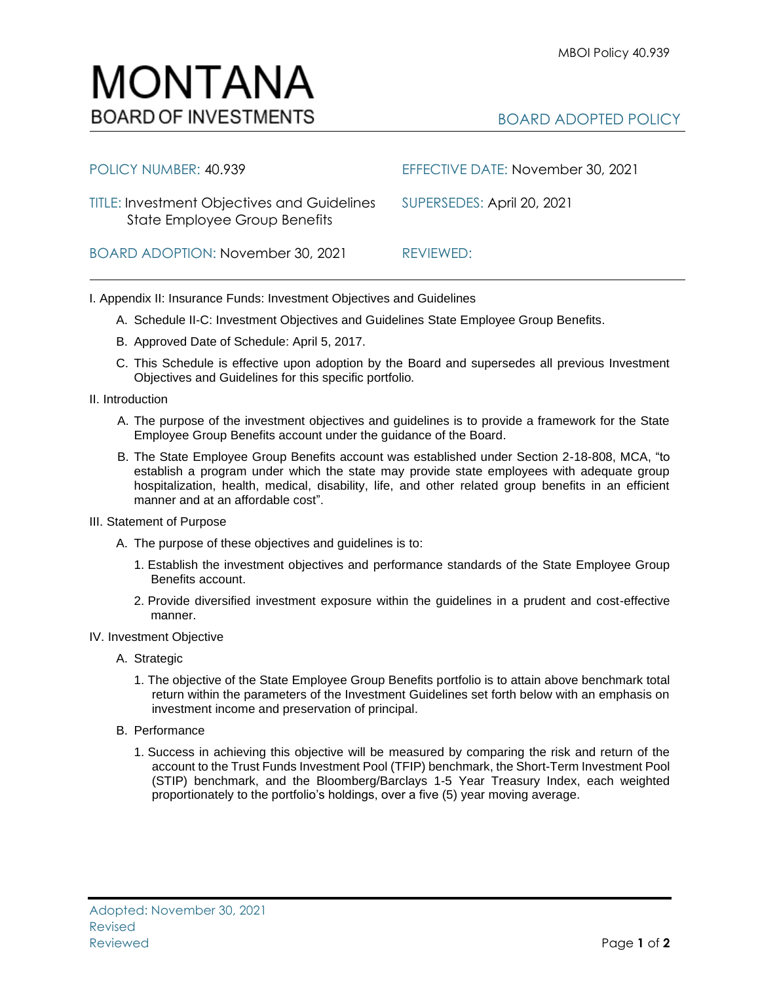## MONTANA **BOARD OF INVESTMENTS**

## BOARD ADOPTED POLICY

| POLICY NUMBER: 40.939                                                               | EFFECTIVE DATE: November 30, 2021 |
|-------------------------------------------------------------------------------------|-----------------------------------|
| <b>TITLE: Investment Objectives and Guidelines</b><br>State Employee Group Benefits | SUPERSEDES: April 20, 2021        |
| BOARD ADOPTION: November 30, 2021                                                   | REVIEWED:                         |

I. Appendix II: Insurance Funds: Investment Objectives and Guidelines

- A. Schedule II-C: Investment Objectives and Guidelines State Employee Group Benefits.
- B. Approved Date of Schedule: April 5, 2017.
- C. This Schedule is effective upon adoption by the Board and supersedes all previous Investment Objectives and Guidelines for this specific portfolio*.*
- II. Introduction
	- A. The purpose of the investment objectives and guidelines is to provide a framework for the State Employee Group Benefits account under the guidance of the Board.
	- B. The State Employee Group Benefits account was established under Section 2-18-808, MCA, "to establish a program under which the state may provide state employees with adequate group hospitalization, health, medical, disability, life, and other related group benefits in an efficient manner and at an affordable cost".
- III. Statement of Purpose
	- A. The purpose of these objectives and guidelines is to:
		- 1. Establish the investment objectives and performance standards of the State Employee Group Benefits account.
		- 2. Provide diversified investment exposure within the guidelines in a prudent and cost-effective manner.
- IV. Investment Objective
	- A. Strategic
		- 1. The objective of the State Employee Group Benefits portfolio is to attain above benchmark total return within the parameters of the Investment Guidelines set forth below with an emphasis on investment income and preservation of principal.
	- B. Performance
		- 1. Success in achieving this objective will be measured by comparing the risk and return of the account to the Trust Funds Investment Pool (TFIP) benchmark, the Short-Term Investment Pool (STIP) benchmark, and the Bloomberg/Barclays 1-5 Year Treasury Index, each weighted proportionately to the portfolio's holdings, over a five (5) year moving average.